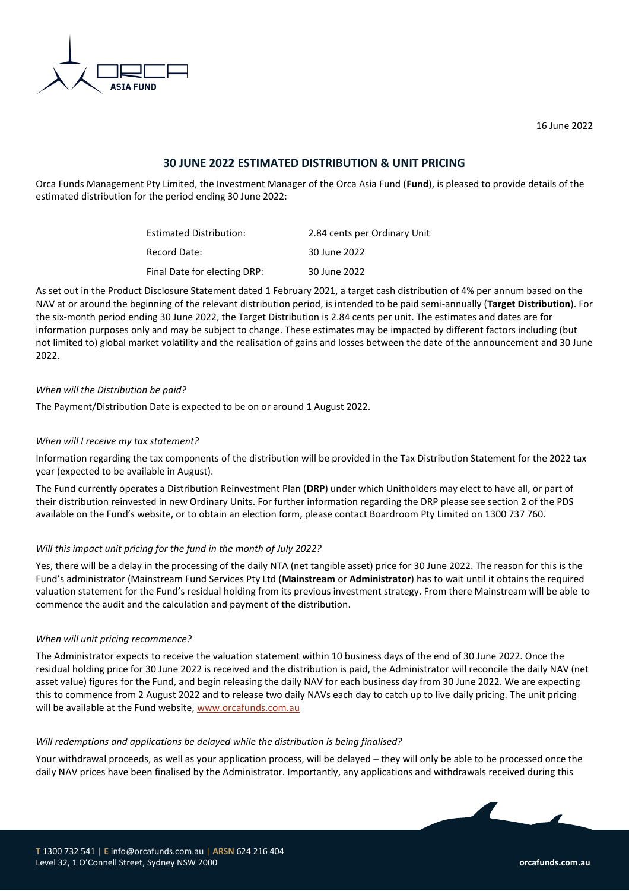

16 June 2022

# **30 JUNE 2022 ESTIMATED DISTRIBUTION & UNIT PRICING**

Orca Funds Management Pty Limited, the Investment Manager of the Orca Asia Fund (**Fund**), is pleased to provide details of the estimated distribution for the period ending 30 June 2022:

| Estimated Distribution:      | 2.84 cents per Ordinary Unit |
|------------------------------|------------------------------|
| Record Date:                 | 30 June 2022                 |
| Final Date for electing DRP: | 30 June 2022                 |

As set out in the Product Disclosure Statement dated 1 February 2021, a target cash distribution of 4% per annum based on the NAV at or around the beginning of the relevant distribution period, is intended to be paid semi-annually (**Target Distribution**). For the six-month period ending 30 June 2022, the Target Distribution is 2.84 cents per unit. The estimates and dates are for information purposes only and may be subject to change. These estimates may be impacted by different factors including (but not limited to) global market volatility and the realisation of gains and losses between the date of the announcement and 30 June 2022.

## *When will the Distribution be paid?*

The Payment/Distribution Date is expected to be on or around 1 August 2022.

## *When will I receive my tax statement?*

Information regarding the tax components of the distribution will be provided in the Tax Distribution Statement for the 2022 tax year (expected to be available in August).

The Fund currently operates a Distribution Reinvestment Plan (**DRP**) under which Unitholders may elect to have all, or part of their distribution reinvested in new Ordinary Units. For further information regarding the DRP please see section 2 of the PDS available on the Fund's website, or to obtain an election form, please contact Boardroom Pty Limited on 1300 737 760.

## *Will this impact unit pricing for the fund in the month of July 2022?*

Yes, there will be a delay in the processing of the daily NTA (net tangible asset) price for 30 June 2022. The reason for this is the Fund's administrator (Mainstream Fund Services Pty Ltd (**Mainstream** or **Administrator**) has to wait until it obtains the required valuation statement for the Fund's residual holding from its previous investment strategy. From there Mainstream will be able to commence the audit and the calculation and payment of the distribution.

## *When will unit pricing recommence?*

The Administrator expects to receive the valuation statement within 10 business days of the end of 30 June 2022. Once the residual holding price for 30 June 2022 is received and the distribution is paid, the Administrator will reconcile the daily NAV (net asset value) figures for the Fund, and begin releasing the daily NAV for each business day from 30 June 2022. We are expecting this to commence from 2 August 2022 and to release two daily NAVs each day to catch up to live daily pricing. The unit pricing will be available at the Fund website[, www.orcafunds.com.au](http://www.orcafunds.com.au/)

## *Will redemptions and applications be delayed while the distribution is being finalised?*

Your withdrawal proceeds, as well as your application process, will be delayed – they will only be able to be processed once the daily NAV prices have been finalised by the Administrator. Importantly, any applications and withdrawals received during this